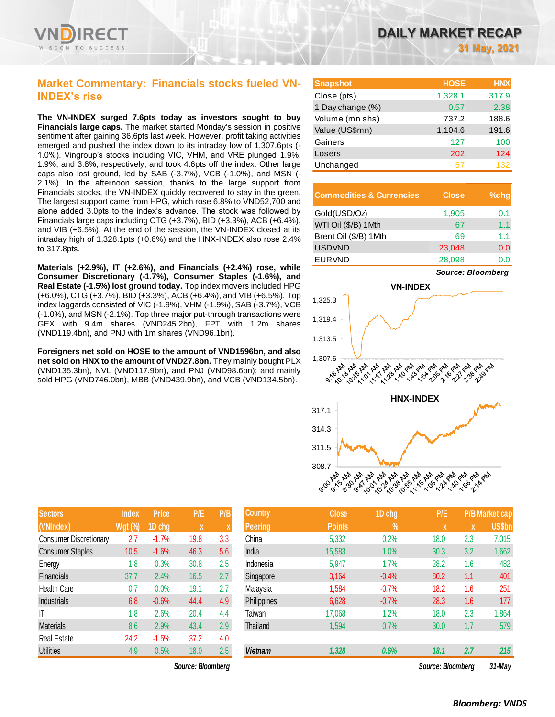# **Market Commentary: Financials stocks fueled VN-INDEX's rise**

**The VN-INDEX surged 7.6pts today as investors sought to buy Financials large caps.** The market started Monday's session in positive sentiment after gaining 36.6pts last week. However, profit taking activities emerged and pushed the index down to its intraday low of 1,307.6pts (- 1.0%). Vingroup's stocks including VIC, VHM, and VRE plunged 1.9%, 1.9%, and 3.8%, respectively, and took 4.6pts off the index. Other large caps also lost ground, led by SAB (-3.7%), VCB (-1.0%), and MSN (- 2.1%). In the afternoon session, thanks to the large support from Financials stocks, the VN-INDEX quickly recovered to stay in the green. The largest support came from HPG, which rose 6.8% to VND52,700 and alone added 3.0pts to the index's advance. The stock was followed by Financials large caps including CTG (+3.7%), BID (+3.3%), ACB (+6.4%), and VIB (+6.5%). At the end of the session, the VN-INDEX closed at its intraday high of 1,328.1pts (+0.6%) and the HNX-INDEX also rose 2.4% to 317.8pts.

**Materials (+2.9%), IT (+2.6%), and Financials (+2.4%) rose, while Consumer Discretionary (-1.7%), Consumer Staples (-1.6%), and Real Estate (-1.5%) lost ground today.** Top index movers included HPG (+6.0%), CTG (+3.7%), BID (+3.3%), ACB (+6.4%), and VIB (+6.5%). Top index laggards consisted of VIC (-1.9%), VHM (-1.9%), SAB (-3.7%), VCB (-1.0%), and MSN (-2.1%). Top three major put-through transactions were GEX with 9.4m shares (VND245.2bn), FPT with 1.2m shares (VND119.4bn), and PNJ with 1m shares (VND96.1bn).

**Foreigners net sold on HOSE to the amount of VND1596bn, and also net sold on HNX to the amount of VND27.8bn.** They mainly bought PLX (VND135.3bn), NVL (VND117.9bn), and PNJ (VND98.6bn); and mainly sold HPG (VND746.0bn), MBB (VND439.9bn), and VCB (VND134.5bn).

| DAILY MARKET RECAP |  |  |              |  |  |
|--------------------|--|--|--------------|--|--|
|                    |  |  | 31 May, 2021 |  |  |

| <b>Snapshot</b>  | <b>HOSE</b> | <b>HNX</b> |
|------------------|-------------|------------|
| Close (pts)      | 1,328.1     | 317.9      |
| 1 Day change (%) | 0.57        | 2.38       |
| Volume (mn shs)  | 737.2       | 188.6      |
| Value (US\$mn)   | 1,104.6     | 191.6      |
| Gainers          | 127         | 100        |
| Losers           | 202         | 124        |
| Unchanged        | 57          | 132        |

| <b>Commodities &amp; Currencies</b> | <b>Close</b> | $%$ chq |
|-------------------------------------|--------------|---------|
| Gold(USD/Oz)                        | 1,905        | 0.1     |
| WTI Oil (\$/B) 1Mth                 | 67           | 1.1     |
| Brent Oil (\$/B) 1Mth               | 69           | 11      |
| <b>USDVND</b>                       | 23,048       | 0.0     |
| <b>EURVND</b>                       | 28,098       |         |



| <b>Sectors</b>                | <b>Index</b> | <b>Price</b> | P/E  | P/B |
|-------------------------------|--------------|--------------|------|-----|
| (VNIndex)                     | Wgt (%)      | 1D chg       | X    | X   |
| <b>Consumer Discretionary</b> | 2.7          | $-1.7%$      | 19.8 | 3.3 |
| <b>Consumer Staples</b>       | 10.5         | $-1.6%$      | 46.3 | 5.6 |
| Energy                        | 1.8          | 0.3%         | 30.8 | 2.5 |
| Financials                    | 37.7         | 2.4%         | 16.5 | 2.7 |
| Health Care                   | 0.7          | 0.0%         | 19.1 | 2.7 |
| <b>Industrials</b>            | 6.8          | $-0.6%$      | 44.4 | 4.9 |
| IT                            | 1.8          | 2.6%         | 20.4 | 4.4 |
| <b>Materials</b>              | 8.6          | 2.9%         | 43.4 | 2.9 |
| <b>Real Estate</b>            | 24.2         | $-1.5%$      | 37.2 | 4.0 |
| <b>Utilities</b>              | 4.9          | 0.5%         | 18.0 | 2.5 |

| <b>Index</b> | <b>Price</b> | P/E    | P/B | <b>Country</b> | <b>Close</b>  | 1D chg  | P/E  |     | <b>P/B Market cap</b> |
|--------------|--------------|--------|-----|----------------|---------------|---------|------|-----|-----------------------|
| $Wgt$ (%)    |              | X      |     | <b>Peering</b> | <b>Points</b> | $\%$    |      | X   | US\$bn                |
| 2.7          | $-1.7%$      | 19.8   | 3.3 | China          | 5,332         | 0.2%    | 18.0 | 2.3 | 7,015                 |
| 10.5         | $-1.6%$      | 46.3   | 5.6 | India          | 15,583        | 1.0%    | 30.3 | 3.2 | 1,662                 |
| 1.8          | 0.3%         | 30.8   | 2.5 | Indonesia      | 5,947         | 1.7%    | 28.2 | 1.6 | 482                   |
| 37.7         | 2.4%         | 16.5   | 2.7 | Singapore      | 3,164         | $-0.4%$ | 80.2 | 1.1 | 401                   |
| 0.7          | 0.0%         | 19.1   | 2.7 | Malaysia       | 1,584         | $-0.7%$ | 18.2 | 1.6 | 251                   |
| 6.8          | $-0.6%$      | 44.4   | 4.9 | Philippines    | 6,628         | $-0.7%$ | 28.3 | 1.6 | 177                   |
| 1.8          | 2.6%         | 20.4   | 4.4 | Taiwan         | 17,068        | $1.2\%$ | 18.0 | 2.3 | 1,864                 |
| 8.6          | 2.9%         | 43.4   | 2.9 | Thailand       | 1,594         | 0.7%    | 30.0 | 1.7 | 579                   |
| 24.2         | $-1.5%$      | 37.2   | 4.0 |                |               |         |      |     |                       |
| 4.9          | 0.5%         | 18.0   | 2.5 | <b>Vietnam</b> | 1,328         | 0.6%    | 18.1 | 2.7 | 215                   |
|              |              | 1D chg |     |                |               |         |      |     |                       |

*Source: Bloomberg Source: Bloomberg 31-May*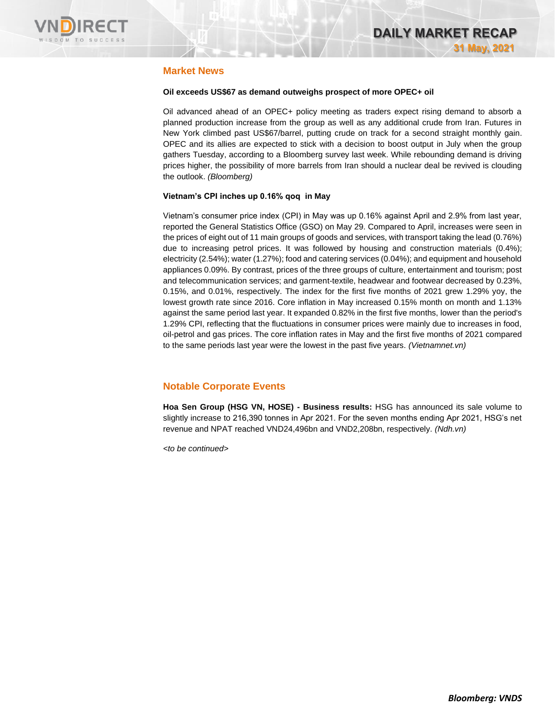

## **Market News**

### **Oil exceeds US\$67 as demand outweighs prospect of more OPEC+ oil**

Oil advanced ahead of an OPEC+ policy meeting as traders expect rising demand to absorb a planned production increase from the group as well as any additional crude from Iran. Futures in New York climbed past US\$67/barrel, putting crude on track for a second straight monthly gain. OPEC and its allies are expected to stick with a decision to boost output in July when the group gathers Tuesday, according to a Bloomberg survey last week. While rebounding demand is driving prices higher, the possibility of more barrels from Iran should a nuclear deal be revived is clouding the outlook. *(Bloomberg)*

### **Vietnam's CPI inches up 0.16% qoq in May**

Vietnam's consumer price index (CPI) in May was up 0.16% against April and 2.9% from last year, reported the General Statistics Office (GSO) on May 29. Compared to April, increases were seen in the prices of eight out of 11 main groups of goods and services, with transport taking the lead (0.76%) due to increasing petrol prices. It was followed by housing and construction materials (0.4%); electricity (2.54%); water (1.27%); food and catering services (0.04%); and equipment and household appliances 0.09%. By contrast, prices of the three groups of culture, entertainment and tourism; post and telecommunication services; and garment-textile, headwear and footwear decreased by 0.23%, 0.15%, and 0.01%, respectively. The index for the first five months of 2021 grew 1.29% yoy, the lowest growth rate since 2016. Core inflation in May increased 0.15% month on month and 1.13% against the same period last year. It expanded 0.82% in the first five months, lower than the period's 1.29% CPI, reflecting that the fluctuations in consumer prices were mainly due to increases in food, oil-petrol and gas prices. The core inflation rates in May and the first five months of 2021 compared to the same periods last year were the lowest in the past five years. *(Vietnamnet.vn)*

## **Notable Corporate Events**

**Hoa Sen Group (HSG VN, HOSE) - Business results:** HSG has announced its sale volume to slightly increase to 216,390 tonnes in Apr 2021. For the seven months ending Apr 2021, HSG's net revenue and NPAT reached VND24,496bn and VND2,208bn, respectively. *(Ndh.vn)*

*<to be continued>*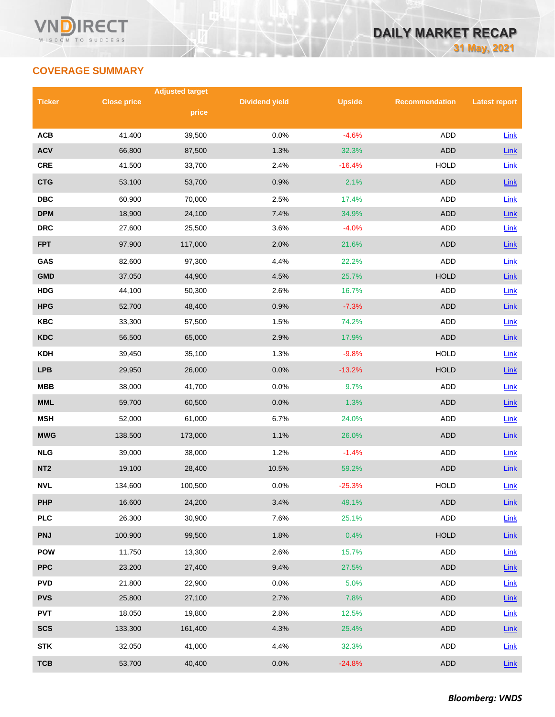# **COVERAGE SUMMARY**

|                 |                    | <b>Adjusted target</b> |                       |               |                       |                      |  |
|-----------------|--------------------|------------------------|-----------------------|---------------|-----------------------|----------------------|--|
| <b>Ticker</b>   | <b>Close price</b> | price                  | <b>Dividend yield</b> | <b>Upside</b> | <b>Recommendation</b> | <b>Latest report</b> |  |
|                 |                    |                        |                       |               |                       |                      |  |
| <b>ACB</b>      | 41,400             | 39,500                 | 0.0%                  | $-4.6%$       | <b>ADD</b>            | Link                 |  |
| <b>ACV</b>      | 66,800             | 87,500                 | 1.3%                  | 32.3%         | <b>ADD</b>            | Link                 |  |
| <b>CRE</b>      | 41,500             | 33,700                 | 2.4%                  | $-16.4%$      | <b>HOLD</b>           | Link                 |  |
| <b>CTG</b>      | 53,100             | 53,700                 | 0.9%                  | 2.1%          | <b>ADD</b>            | Link                 |  |
| <b>DBC</b>      | 60,900             | 70,000                 | 2.5%                  | 17.4%         | ADD                   | Link                 |  |
| <b>DPM</b>      | 18,900             | 24,100                 | 7.4%                  | 34.9%         | <b>ADD</b>            | Link                 |  |
| <b>DRC</b>      | 27,600             | 25,500                 | 3.6%                  | $-4.0%$       | <b>ADD</b>            | Link                 |  |
| <b>FPT</b>      | 97,900             | 117,000                | 2.0%                  | 21.6%         | <b>ADD</b>            | Link                 |  |
| GAS             | 82,600             | 97,300                 | 4.4%                  | 22.2%         | <b>ADD</b>            | Link                 |  |
| <b>GMD</b>      | 37,050             | 44,900                 | 4.5%                  | 25.7%         | <b>HOLD</b>           | Link                 |  |
| <b>HDG</b>      | 44,100             | 50,300                 | 2.6%                  | 16.7%         | ADD                   | Link                 |  |
| <b>HPG</b>      | 52,700             | 48,400                 | 0.9%                  | $-7.3%$       | <b>ADD</b>            | Link                 |  |
| <b>KBC</b>      | 33,300             | 57,500                 | 1.5%                  | 74.2%         | ADD                   | Link                 |  |
| <b>KDC</b>      | 56,500             | 65,000                 | 2.9%                  | 17.9%         | <b>ADD</b>            | Link                 |  |
| <b>KDH</b>      | 39,450             | 35,100                 | 1.3%                  | $-9.8%$       | <b>HOLD</b>           | Link                 |  |
| <b>LPB</b>      | 29,950             | 26,000                 | 0.0%                  | $-13.2%$      | <b>HOLD</b>           | Link                 |  |
| <b>MBB</b>      | 38,000             | 41,700                 | 0.0%                  | 9.7%          | <b>ADD</b>            | Link                 |  |
| <b>MML</b>      | 59,700             | 60,500                 | 0.0%                  | 1.3%          | <b>ADD</b>            | Link                 |  |
| <b>MSH</b>      | 52,000             | 61,000                 | 6.7%                  | 24.0%         | ADD                   | Link                 |  |
| <b>MWG</b>      | 138,500            | 173,000                | 1.1%                  | 26.0%         | <b>ADD</b>            | Link                 |  |
| <b>NLG</b>      | 39,000             | 38,000                 | 1.2%                  | $-1.4%$       | ADD                   | Link                 |  |
| NT <sub>2</sub> | 19,100             | 28,400                 | 10.5%                 | 59.2%         | <b>ADD</b>            | Link                 |  |
| <b>NVL</b>      | 134,600            | 100,500                | 0.0%                  | $-25.3%$      | <b>HOLD</b>           | Link                 |  |
| <b>PHP</b>      | 16,600             | 24,200                 | 3.4%                  | 49.1%         | ADD                   | $Link$               |  |
| <b>PLC</b>      | 26,300             | 30,900                 | 7.6%                  | 25.1%         | ADD                   | Link                 |  |
| <b>PNJ</b>      | 100,900            | 99,500                 | 1.8%                  | 0.4%          | <b>HOLD</b>           | Link                 |  |
| <b>POW</b>      | 11,750             | 13,300                 | 2.6%                  | 15.7%         | ADD                   | Link                 |  |
| <b>PPC</b>      | 23,200             | 27,400                 | 9.4%                  | 27.5%         | <b>ADD</b>            | $Link$               |  |
| <b>PVD</b>      | 21,800             | 22,900                 | 0.0%                  | 5.0%          | ADD                   | Link                 |  |
| <b>PVS</b>      | 25,800             | 27,100                 | 2.7%                  | 7.8%          | <b>ADD</b>            | $Link$               |  |
| <b>PVT</b>      | 18,050             | 19,800                 | 2.8%                  | 12.5%         | ADD                   | Link                 |  |
| <b>SCS</b>      | 133,300            | 161,400                | 4.3%                  | 25.4%         | ADD                   | Link                 |  |
| <b>STK</b>      | 32,050             | 41,000                 | 4.4%                  | 32.3%         | ADD                   | Link                 |  |
| <b>TCB</b>      | 53,700             | 40,400                 | 0.0%                  | $-24.8%$      | <b>ADD</b>            | Link                 |  |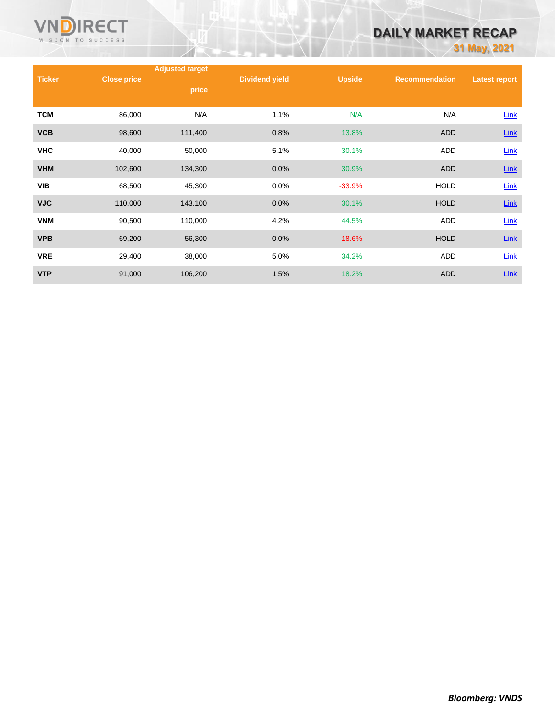

# **DAILY MARKET RECAP**

**31 May, 2021**

|               |                    | <b>Adjusted target</b> |                       |               |                       |                      |
|---------------|--------------------|------------------------|-----------------------|---------------|-----------------------|----------------------|
| <b>Ticker</b> | <b>Close price</b> | price                  | <b>Dividend yield</b> | <b>Upside</b> | <b>Recommendation</b> | <b>Latest report</b> |
| <b>TCM</b>    | 86,000             | N/A                    | 1.1%                  | N/A           | N/A                   | Link                 |
| <b>VCB</b>    | 98,600             | 111,400                | 0.8%                  | 13.8%         | <b>ADD</b>            | $Link$               |
| <b>VHC</b>    | 40,000             | 50,000                 | 5.1%                  | 30.1%         | ADD                   | Link                 |
| <b>VHM</b>    | 102,600            | 134,300                | 0.0%                  | 30.9%         | <b>ADD</b>            | $Link$               |
| <b>VIB</b>    | 68,500             | 45,300                 | 0.0%                  | $-33.9%$      | <b>HOLD</b>           | <b>Link</b>          |
| <b>VJC</b>    | 110,000            | 143,100                | 0.0%                  | 30.1%         | <b>HOLD</b>           | $Link$               |
| <b>VNM</b>    | 90,500             | 110,000                | 4.2%                  | 44.5%         | ADD                   | Link                 |
| <b>VPB</b>    | 69,200             | 56,300                 | 0.0%                  | $-18.6%$      | <b>HOLD</b>           | <b>Link</b>          |
| <b>VRE</b>    | 29,400             | 38,000                 | 5.0%                  | 34.2%         | <b>ADD</b>            | Link                 |
| <b>VTP</b>    | 91,000             | 106,200                | 1.5%                  | 18.2%         | <b>ADD</b>            | Link                 |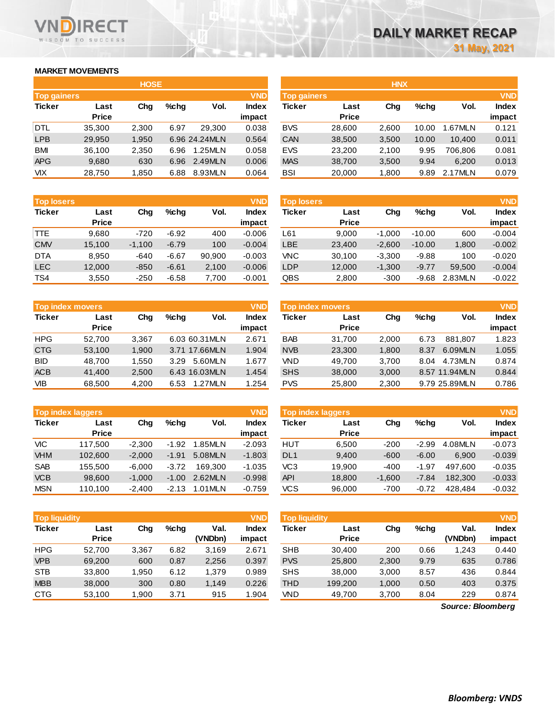## **MARKET MOVEMENTS**

WISDOM TO SUCCESS

**RECT** 

|                    | <b>HOSE</b>  |       |         |               |              |  |  |  |  |  |  |  |
|--------------------|--------------|-------|---------|---------------|--------------|--|--|--|--|--|--|--|
| <b>Top gainers</b> |              |       |         |               | <b>VND</b>   |  |  |  |  |  |  |  |
| <b>Ticker</b>      | Last         | Cha   | $%$ chq | Vol.          | <b>Index</b> |  |  |  |  |  |  |  |
|                    | <b>Price</b> |       |         |               | impact       |  |  |  |  |  |  |  |
| DTL.               | 35,300       | 2,300 | 6.97    | 29.300        | 0.038        |  |  |  |  |  |  |  |
| <b>LPB</b>         | 29,950       | 1,950 |         | 6.96 24.24MLN | 0.564        |  |  |  |  |  |  |  |
| <b>BMI</b>         | 36,100       | 2,350 | 6.96    | 1.25MLN       | 0.058        |  |  |  |  |  |  |  |
| <b>APG</b>         | 9,680        | 630   | 6.96    | 2.49MLN       | 0.006        |  |  |  |  |  |  |  |
| <b>VIX</b>         | 28,750       | 1,850 | 6.88    | 8.93MLN       | 0.064        |  |  |  |  |  |  |  |

|                    |              | <b>HOSE</b> |      |               |              |                    |              | <b>HNX</b> |         |         |              |
|--------------------|--------------|-------------|------|---------------|--------------|--------------------|--------------|------------|---------|---------|--------------|
| <b>Top gainers</b> |              |             |      |               | <b>VND</b>   | <b>Top gainers</b> |              |            |         |         | <b>VND</b>   |
| Ticker             | Last         | Chg         | %chq | Vol.          | <b>Index</b> | Ticker             | Last         | Chg        | $%$ chq | Vol.    | <b>Index</b> |
|                    | <b>Price</b> |             |      |               | impact       |                    | <b>Price</b> |            |         |         | impact       |
| DTL                | 35,300       | 2.300       | 6.97 | 29.300        | 0.038        | <b>BVS</b>         | 28,600       | 2.600      | 10.00   | .67MLN  | 0.121        |
| LPB                | 29,950       | 1,950       |      | 6.96 24.24MLN | 0.564        | <b>CAN</b>         | 38,500       | 3,500      | 10.00   | 10.400  | 0.011        |
| BMI                | 36,100       | 2,350       | 6.96 | 1.25MLN       | 0.058        | <b>EVS</b>         | 23,200       | 2,100      | 9.95    | 706.806 | 0.081        |
| APG                | 9,680        | 630         | 6.96 | 2.49MLN       | 0.006        | <b>MAS</b>         | 38,700       | 3,500      | 9.94    | 6.200   | 0.013        |
| VIХ                | 28,750       | 1,850       | 6.88 | 8.93MLN       | 0.064        | BSI                | 20,000       | 1,800      | 9.89    | 2.17MLN | 0.079        |

| <b>Top losers</b> |              |          |         |        | <b>VND</b>   |
|-------------------|--------------|----------|---------|--------|--------------|
| <b>Ticker</b>     | Last         | Cha      | %chq    | Vol.   | <b>Index</b> |
|                   | <b>Price</b> |          |         |        | impact       |
| TTE.              | 9.680        | -720     | $-6.92$ | 400    | $-0.006$     |
| <b>CMV</b>        | 15,100       | $-1,100$ | $-6.79$ | 100    | $-0.004$     |
| <b>DTA</b>        | 8,950        | $-640$   | $-6.67$ | 90,900 | $-0.003$     |
| <b>LEC</b>        | 12.000       | $-850$   | $-6.61$ | 2,100  | $-0.006$     |
| TS4               | 3,550        | $-250$   | $-6.58$ | 7.700  | $-0.001$     |

| <b>VND</b><br><b>Top losers</b> |                      |          |         |        |                        | <b>Top losers</b> |                      |          |          |         | <b>VND</b>      |
|---------------------------------|----------------------|----------|---------|--------|------------------------|-------------------|----------------------|----------|----------|---------|-----------------|
| Ticker                          | Last<br><b>Price</b> | Chg      | %chq    | Vol.   | <b>Index</b><br>impact | Ticker            | Last<br><b>Price</b> | Chg      | %chq     | Vol.    | Index<br>impact |
| TTE                             | 9.680                | $-720$   | $-6.92$ | 400    | $-0.006$               | ∟61               | 9.000                | $-1.000$ | $-10.00$ | 600     | $-0.004$        |
| <b>CMV</b>                      | 15.100               | $-1.100$ | $-6.79$ | 100    | $-0.004$               | LBE               | 23,400               | $-2.600$ | $-10.00$ | 1,800   | $-0.002$        |
| <b>DTA</b>                      | 8.950                | $-640$   | $-6.67$ | 90.900 | $-0.003$               | VNC               | 30.100               | $-3.300$ | $-9.88$  | 100     | $-0.020$        |
| LEC                             | 12.000               | $-850$   | $-6.61$ | 2,100  | $-0.006$               | LDP               | 12,000               | $-1.300$ | $-9.77$  | 59,500  | $-0.004$        |
| TS4                             | 3,550                | $-250$   | $-6.58$ | 7,700  | $-0.001$               | QBS               | 2,800                | $-300$   | $-9.68$  | 2.83MLN | $-0.022$        |

| <b>Top index movers</b> |                      |       |                |         | <b>VND</b>      | Top index movers |                      |       |         |               | <b>VND</b>             |
|-------------------------|----------------------|-------|----------------|---------|-----------------|------------------|----------------------|-------|---------|---------------|------------------------|
| <b>Ticker</b>           | Last<br><b>Price</b> | Chg   | %chq           | Vol.    | Index<br>impact | Ticker           | Last<br><b>Price</b> | Chg   | $%$ chq | Vol.          | <b>Index</b><br>impact |
| <b>HPG</b>              | 52.700               | 3.367 | 6.03 60.31 MLN |         | 2.671           | <b>BAB</b>       | 31.700               | 2.000 | 6.73    | 881.807       | 1.823                  |
| <b>CTG</b>              | 53,100               | 1,900 | 3.71 17.66MLN  |         | 1.904           | <b>NVB</b>       | 23,300               | 1,800 | 8.37    | 6.09MLN       | 1.055                  |
| <b>BID</b>              | 48.700               | 1.550 | 3.29           | 5.60MLN | 1.677           | VND              | 49.700               | 3.700 | 8.04    | 4.73MLN       | 0.874                  |
| <b>ACB</b>              | 41,400               | 2,500 | 6.43 16.03MLN  |         | 1.454           | <b>SHS</b>       | 38,000               | 3,000 |         | 8.57 11.94MLN | 0.844                  |
| <b>VIB</b>              | 68,500               | 4.200 | 6.53           | 1.27MLN | 1.254           | <b>PVS</b>       | 25,800               | 2,300 |         | 9.79 25.89MLN | 0.786                  |

|               | <b>Top index laggers</b> |          |         |         | <b>VND</b>      | Top index laggers |                      |          |         |         |                 |
|---------------|--------------------------|----------|---------|---------|-----------------|-------------------|----------------------|----------|---------|---------|-----------------|
| <b>Ticker</b> | Last<br><b>Price</b>     | Chg      | %chq    | Vol.    | Index<br>impact | <b>Ticker</b>     | Last<br><b>Price</b> | Chg      | $%$ chq | Vol.    | Index<br>impact |
| <b>VIC</b>    | 117.500                  | $-2.300$ | $-1.92$ | 1.85MLN | $-2.093$        | HUT               | 6.500                | $-200$   | $-2.99$ | 4.08MLN | $-0.073$        |
| <b>VHM</b>    | 102,600                  | $-2.000$ | $-1.91$ | 5.08MLN | $-1.803$        | DL <sub>1</sub>   | 9.400                | $-600$   | $-6.00$ | 6.900   | $-0.039$        |
| <b>SAB</b>    | 155.500                  | $-6.000$ | $-3.72$ | 169.300 | $-1.035$        | VC3               | 19.900               | $-400$   | $-1.97$ | 497.600 | $-0.035$        |
| <b>VCB</b>    | 98,600                   | $-1.000$ | $-1.00$ | 2.62MLN | $-0.998$        | API               | 18,800               | $-1.600$ | $-7.84$ | 182,300 | $-0.033$        |
| <b>MSN</b>    | 110.100                  | $-2,400$ | $-2.13$ | 1.01MLN | $-0.759$        | VCS               | 96,000               | -700     | $-0.72$ | 428.484 | $-0.032$        |

| <b>Top liquidity</b> |                      |        |         |                 | <b>VND</b>             | Top liquidity |                      |       |         |                   | <b>VND</b>             |
|----------------------|----------------------|--------|---------|-----------------|------------------------|---------------|----------------------|-------|---------|-------------------|------------------------|
| <b>Ticker</b>        | Last<br><b>Price</b> | Chg    | $%$ chq | Val.<br>(VNDbn) | <b>Index</b><br>impact | Ticker        | Last<br><b>Price</b> | Chg   | $%$ chq | Val.<br>(VNDbn)   | <b>Index</b><br>impact |
| <b>HPG</b>           | 52.700               | 3,367  | 6.82    | 3,169           | 2.671                  | <b>SHB</b>    | 30.400               | 200   | 0.66    | 1,243             | 0.440                  |
| <b>VPB</b>           | 69,200               | 600    | 0.87    | 2,256           | 0.397                  | <b>PVS</b>    | 25,800               | 2,300 | 9.79    | 635               | 0.786                  |
| <b>STB</b>           | 33,800               | 1.950  | 6.12    | 1.379           | 0.989                  | <b>SHS</b>    | 38,000               | 3,000 | 8.57    | 436               | 0.844                  |
| <b>MBB</b>           | 38,000               | 300    | 0.80    | 1,149           | 0.226                  | THD           | 199.200              | 1,000 | 0.50    | 403               | 0.375                  |
| <b>CTG</b>           | 53,100               | 900. ا | 3.71    | 915             | 1.904                  | VND           | 49,700               | 3,700 | 8.04    | 229               | 0.874                  |
|                      |                      |        |         |                 |                        |               |                      |       |         | Carmen, Disambara |                        |

*Source: Bloomberg*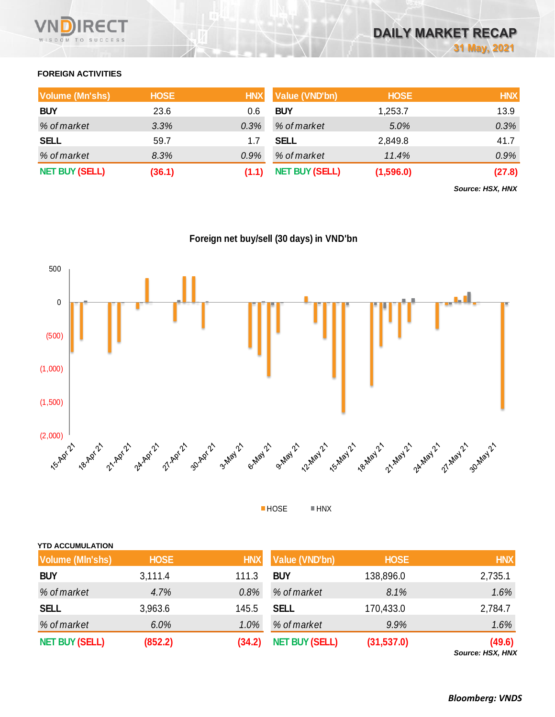

## **FOREIGN ACTIVITIES**

| <b>Volume (Mn'shs)</b> | <b>HOSE</b> | <b>HNX</b> | Value (VND'bn)        | <b>HOSE</b> | <b>HNX</b> |
|------------------------|-------------|------------|-----------------------|-------------|------------|
| <b>BUY</b>             | 23.6        | 0.6        | <b>BUY</b>            | 1,253.7     | 13.9       |
| % of market            | 3.3%        | 0.3%       | % of market           | 5.0%        | 0.3%       |
| <b>SELL</b>            | 59.7        |            | <b>SELL</b>           | 2,849.8     | 41.7       |
| % of market            | 8.3%        | $0.9\%$    | % of market           | 11.4%       | $0.9\%$    |
| <b>NET BUY (SELL)</b>  | (36.1)      |            | <b>NET BUY (SELL)</b> | (1,596.0)   | (27.8)     |

*Source: HSX, HNX*

**Foreign net buy/sell (30 days) in VND'bn**



HOSE HNX

| <b>YTD ACCUMULATION</b> |             |            |                       |             |            |
|-------------------------|-------------|------------|-----------------------|-------------|------------|
| <b>Volume (MIn'shs)</b> | <b>HOSE</b> | <b>HNX</b> | Value (VND'bn)        | <b>HOSE</b> | <b>HNX</b> |
| <b>BUY</b>              | 3,111.4     | 111.3      | <b>BUY</b>            | 138,896.0   | 2,735.1    |
| % of market             | 4.7%        | 0.8%       | % of market           | 8.1%        | 1.6%       |
| <b>SELL</b>             | 3,963.6     | 145.5      | <b>SELL</b>           | 170,433.0   | 2,784.7    |
| % of market             | 6.0%        | 1.0%       | % of market           | 9.9%        | 1.6%       |
| <b>NET BUY (SELL)</b>   | (852.2)     | (34.2)     | <b>NET BUY (SELL)</b> | (31,537.0)  | (49.6)     |

*Source: HSX, HNX*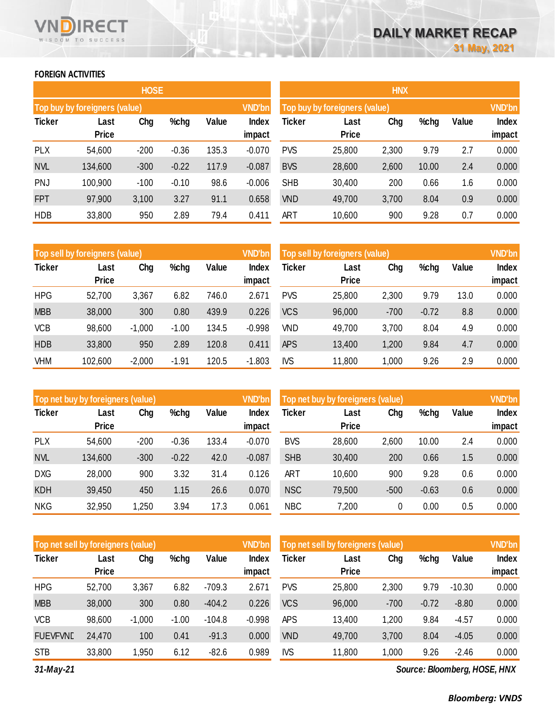## **FOREIGN ACTIVITIES**

WISDOM TO SUCCESS

RECT

|               |                               | <b>HOSE</b> |         |       |                 | <b>HNX</b>    |                               |       |       |       |                 |  |
|---------------|-------------------------------|-------------|---------|-------|-----------------|---------------|-------------------------------|-------|-------|-------|-----------------|--|
|               | Top buy by foreigners (value) |             |         |       | <b>VND'bn</b>   |               | Top buy by foreigners (value) |       |       |       |                 |  |
| <b>Ticker</b> | Last<br><b>Price</b>          | Chg         | $%$ chg | Value | Index<br>impact | <b>Ticker</b> | Last<br><b>Price</b>          | Chg   | %chg  | Value | Index<br>impact |  |
| <b>PLX</b>    | 54,600                        | $-200$      | $-0.36$ | 135.3 | $-0.070$        | <b>PVS</b>    | 25,800                        | 2,300 | 9.79  | 2.7   | 0.000           |  |
| <b>NVL</b>    | 134,600                       | $-300$      | $-0.22$ | 117.9 | $-0.087$        | <b>BVS</b>    | 28,600                        | 2,600 | 10.00 | 2.4   | 0.000           |  |
| PNJ           | 100,900                       | $-100$      | $-0.10$ | 98.6  | $-0.006$        | <b>SHB</b>    | 30,400                        | 200   | 0.66  | 1.6   | 0.000           |  |
| <b>FPT</b>    | 97,900                        | 3,100       | 3.27    | 91.1  | 0.658           | <b>VND</b>    | 49,700                        | 3,700 | 8.04  | 0.9   | 0.000           |  |
| <b>HDB</b>    | 33,800                        | 950         | 2.89    | 79.4  | 0.411           | <b>ART</b>    | 10,600                        | 900   | 9.28  | 0.7   | 0.000           |  |

|               | Top sell by foreigners (value) |          |         |       | <b>VND'bn</b> | Top sell by foreigners (value) |              |        |         |       |        |
|---------------|--------------------------------|----------|---------|-------|---------------|--------------------------------|--------------|--------|---------|-------|--------|
| <b>Ticker</b> | Last                           | Chg      | %chg    | Value | Index         | Ticker                         | Last         | Chg    | %chg    | Value | Index  |
|               | <b>Price</b>                   |          |         |       | impact        |                                | <b>Price</b> |        |         |       | impact |
| <b>HPG</b>    | 52,700                         | 3,367    | 6.82    | 746.0 | 2.671         | <b>PVS</b>                     | 25,800       | 2,300  | 9.79    | 13.0  | 0.000  |
| <b>MBB</b>    | 38,000                         | 300      | 0.80    | 439.9 | 0.226         | <b>VCS</b>                     | 96,000       | $-700$ | $-0.72$ | 8.8   | 0.000  |
| <b>VCB</b>    | 98,600                         | $-1,000$ | $-1.00$ | 134.5 | $-0.998$      | <b>VND</b>                     | 49,700       | 3,700  | 8.04    | 4.9   | 0.000  |
| <b>HDB</b>    | 33,800                         | 950      | 2.89    | 120.8 | 0.411         | <b>APS</b>                     | 13,400       | 1,200  | 9.84    | 4.7   | 0.000  |
| VHM           | 102,600                        | $-2,000$ | $-1.91$ | 120.5 | $-1.803$      | <b>IVS</b>                     | 11,800       | 1,000  | 9.26    | 2.9   | 0.000  |

|               | Top net buy by foreigners (value) |        |         |       | <b>VND'bn</b> | Top net buy by foreigners (value) |                      | <b>VND'bn</b> |         |       |              |
|---------------|-----------------------------------|--------|---------|-------|---------------|-----------------------------------|----------------------|---------------|---------|-------|--------------|
| <b>Ticker</b> | Last<br><b>Price</b>              | Chg    | %chg    | Value | Index         | Ticker                            | Last<br><b>Price</b> | Chg           | %chg    | Value | <b>Index</b> |
|               |                                   |        |         |       | impact        |                                   |                      |               |         |       | impact       |
| <b>PLX</b>    | 54,600                            | $-200$ | $-0.36$ | 133.4 | $-0.070$      | <b>BVS</b>                        | 28,600               | 2,600         | 10.00   | 2.4   | 0.000        |
| <b>NVL</b>    | 134,600                           | $-300$ | $-0.22$ | 42.0  | $-0.087$      | <b>SHB</b>                        | 30,400               | 200           | 0.66    | 1.5   | 0.000        |
| <b>DXG</b>    | 28,000                            | 900    | 3.32    | 31.4  | 0.126         | <b>ART</b>                        | 10,600               | 900           | 9.28    | 0.6   | 0.000        |
| <b>KDH</b>    | 39,450                            | 450    | 1.15    | 26.6  | 0.070         | <b>NSC</b>                        | 79,500               | $-500$        | $-0.63$ | 0.6   | 0.000        |
| <b>NKG</b>    | 32,950                            | 1,250  | 3.94    | 17.3  | 0.061         | <b>NBC</b>                        | 7,200                | 0             | 0.00    | 0.5   | 0.000        |

| Top net sell by foreigners (value) |                      |          |         |          | <b>VND'bn</b>   | Top net sell by foreigners (value) |                      |        |         |          | <b>VND'bn</b>   |
|------------------------------------|----------------------|----------|---------|----------|-----------------|------------------------------------|----------------------|--------|---------|----------|-----------------|
| <b>Ticker</b>                      | Last<br><b>Price</b> | Chg      | %chg    | Value    | Index<br>impact | <b>Ticker</b>                      | Last<br><b>Price</b> | Chg    | %chg    | Value    | Index<br>impact |
| <b>HPG</b>                         | 52,700               | 3,367    | 6.82    | $-709.3$ | 2.671           | <b>PVS</b>                         | 25,800               | 2,300  | 9.79    | $-10.30$ | 0.000           |
| <b>MBB</b>                         | 38,000               | 300      | 0.80    | $-404.2$ | 0.226           | <b>VCS</b>                         | 96,000               | $-700$ | $-0.72$ | $-8.80$  | 0.000           |
| <b>VCB</b>                         | 98,600               | $-1,000$ | $-1.00$ | $-104.8$ | $-0.998$        | <b>APS</b>                         | 13,400               | 1,200  | 9.84    | $-4.57$  | 0.000           |
| <b>FUEVFVND</b>                    | 24,470               | 100      | 0.41    | $-91.3$  | 0.000           | <b>VND</b>                         | 49,700               | 3,700  | 8.04    | $-4.05$  | 0.000           |
| <b>STB</b>                         | 33,800               | 1,950    | 6.12    | $-82.6$  | 0.989           | <b>IVS</b>                         | 11,800               | 1,000  | 9.26    | $-2.46$  | 0.000           |

*31-May-21*

*Source: Bloomberg, HOSE, HNX*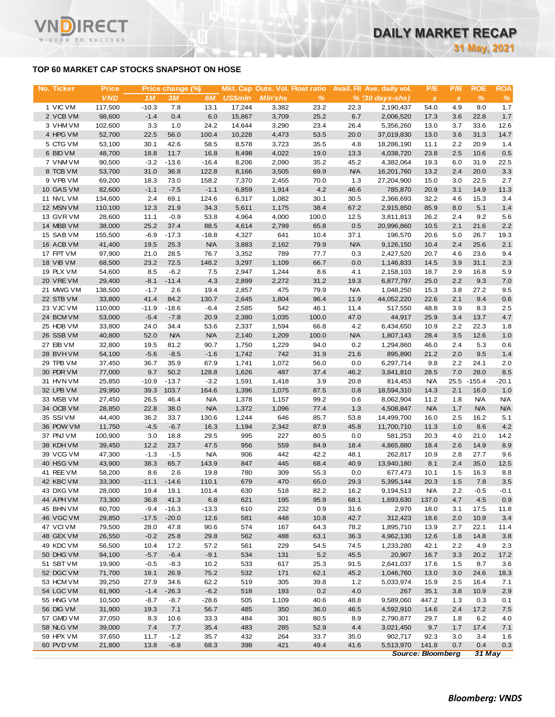## **TOP 60 MARKET CAP STOCKS SNAPSHOT ON HOSE**

RECT

WISDOM TO SUCCESS

VI

| No. Ticker             | <b>Price</b>     |              | Price change (%) |               |                | Mkt. Cap Outs. Vol. Float ratio |               |             | Avail. Fil Ave. daily vol.  | P/E            | P/B          | <b>ROE</b>   | <b>ROA</b> |
|------------------------|------------------|--------------|------------------|---------------|----------------|---------------------------------|---------------|-------------|-----------------------------|----------------|--------------|--------------|------------|
|                        | <b>VND</b>       | 1M           | 3M               | 6M            | <b>US\$mln</b> | <b>MIn'shs</b>                  | %             |             | $% (30 \, \text{days-shs})$ | $\pmb{\times}$ | $\pmb{\chi}$ | %            | $\%$       |
| 1 VIC VM               | 117,500          | $-10.3$      | 7.8              | 13.1          | 17,244         | 3,382                           | 23.2          | 22.3        | 2,190,437                   | 54.0           | 4.9          | 9.0          | 1.7        |
| 2 VCB VM               | 98,600           | $-1.4$       | 0.4              | 6.0           | 15,867         | 3,709                           | 25.2          | 6.7         | 2,006,520                   | 17.3           | 3.6          | 22.8         | 1.7        |
| 3 VHM VM               | 102,600          | 3.3          | 1.0              | 24.2          | 14,644         | 3,290                           | 23.4          | 26.4        | 5,356,260                   | 13.0           | 3.7          | 33.6         | 12.6       |
| 4 HPG VM               | 52,700           | 22.5         | 56.0             | 100.4         | 10,228         | 4,473                           | 53.5          | 20.0        | 37,019,830                  | 13.0           | 3.6          | 31.3         | 14.7       |
| 5 CTG VM               | 53,100           | 30.1         | 42.6             | 58.5          | 8,578          | 3,723                           | 35.5          | 4.8         | 18,286,190                  | 11.1           | 2.2          | 20.9         | 1.4        |
| 6 BID VM               | 48,700           | 18.8         | 11.7             | 16.8          | 8,498          | 4,022                           | 19.0          | 13.3        | 4,038,720                   | 23.8           | 2.5          | 10.6         | 0.5        |
| 7 VNM VM               | 90,500           | $-3.2$       | $-13.6$          | $-16.4$       | 8,206          | 2,090                           | 35.2          | 45.2        | 4,382,064                   | 19.3           | 6.0          | 31.9         | 22.5       |
| 8 TCB VM               | 53,700           | 31.0         | 36.8             | 122.8         | 8,166          | 3,505                           | 69.9          | <b>N/A</b>  | 16,201,760                  | 13.2           | 2.4          | 20.0         | 3.3        |
| 9 VPB VM               | 69,200           | 18.3         | 73.0             | 158.2         | 7,370          | 2,455                           | 70.0          | 1.3         | 27,204,900                  | 15.0           | 3.0          | 22.5         | 2.7        |
| 10 GAS VM              | 82,600           | $-1.1$       | $-7.5$           | $-1.1$        | 6,859          | 1,914                           | 4.2           | 46.6        | 785,870                     | 20.9           | 3.1          | 14.9         | 11.3       |
| 11 NVL VM              | 134,600          | 2.4          | 69.1             | 124.6         | 6,317          | 1,082                           | 30.1          | 30.5        | 2,366,693                   | 32.2           | 4.6          | 15.3         | 3.4        |
| 12 MSN VM<br>13 GVR VM | 110,100          | 12.3         | 21.9<br>$-0.9$   | 34.3<br>53.8  | 5,611          | 1,175                           | 38.4          | 67.2        | 2,915,850                   | 85.9<br>26.2   | 8.0<br>2.4   | 5.1<br>9.2   | 1.4        |
| 14 MBB VM              | 28,600<br>38,000 | 11.1<br>25.2 | 37.4             | 88.5          | 4,964<br>4,614 | 4,000<br>2,799                  | 100.0<br>65.8 | 12.5<br>0.5 | 3,811,813<br>20,996,860     | 10.5           | 2.1          | 21.6         | 5.6<br>2.2 |
| 15 SAB VM              | 155,500          | $-6.9$       | $-17.3$          | $-18.8$       | 4,327          | 641                             | 10.4          | 37.1        | 196,570                     | 20.6           | 5.0          | 26.7         | 19.3       |
| 16 ACB VM              | 41,400           | 19.5         | 25.3             | <b>N/A</b>    | 3,883          | 2,162                           | 79.9          | <b>N/A</b>  | 9,126,150                   | 10.4           | 2.4          | 25.6         | 2.1        |
| 17 FPT VM              | 97,900           | 21.0         | 28.5             | 76.7          | 3,352          | 789                             | 77.7          | 0.3         | 2,427,520                   | 20.7           | 4.6          | 23.6         | 9.4        |
| 18 VIB VM              | 68,500           | 23.2         | 72.5             | 148.2         | 3,297          | 1,109                           | 66.7          | 0.0         | 1,146,833                   | 14.5           | 3.9          | 31.1         | 2.3        |
| 19 PLX VM              | 54,600           | 8.5          | $-6.2$           | 7.5           | 2,947          | 1,244                           | 8.6           | 4.1         | 2,158,103                   | 18.7           | 2.9          | 16.8         | 5.9        |
| 20 VREVM               | 29,400           | $-8.1$       | $-11.4$          | 4.3           | 2,899          | 2,272                           | 31.2          | 19.3        | 6,877,797                   | 25.0           | 2.2          | 9.3          | 7.0        |
| 21 MWG VM              | 138,500          | $-1.7$       | 2.6              | 19.4          | 2,857          | 475                             | 79.9          | <b>N/A</b>  | 1,048,250                   | 15.3           | 3.8          | 27.2         | 9.5        |
| 22 STB VM              | 33,800           | 41.4         | 84.2             | 130.7         | 2,645          | 1,804                           | 96.4          | 11.9        | 44,052,220                  | 22.6           | 2.1          | 9.4          | 0.6        |
| 23 VJC VM              | 110,000          | $-11.9$      | $-18.6$          | $-6.4$        | 2,585          | 542                             | 46.1          | 11.4        | 517,550                     | 48.8           | 3.9          | 8.3          | 2.5        |
| 24 BCM VM              | 53,000           | $-5.4$       | $-7.8$           | 20.9          | 2,380          | 1,035                           | 100.0         | 47.0        | 44,917                      | 25.9           | 3.4          | 13.7         | 4.7        |
| 25 HDB VM              | 33,800           | 24.0         | 34.4             | 53.6          | 2,337          | 1,594                           | 66.8          | 4.2         | 6,434,650                   | 10.9           | 2.2          | 22.3         | 1.8        |
| 26 SSB VM              | 40,800           | 52.0         | <b>N/A</b>       | <b>N/A</b>    | 2,140          | 1,209                           | 100.0         | <b>N/A</b>  | 1,807,143                   | 28.4           | 3.5          | 12.6         | 1.0        |
| 27 EIB VM              | 32,800           | 19.5         | 81.2             | 90.7          | 1,750          | 1,229                           | 94.0          | 0.2         | 1,294,860                   | 46.0           | 2.4          | 5.3          | 0.6        |
| 28 BVHVM               | 54,100           | $-5.6$       | $-8.5$           | $-1.6$        | 1,742          | 742                             | 31.9          | 21.6        | 895,890                     | 21.2           | 2.0          | 9.5          | 1.4        |
| 29 TPB VM              | 37,450           | 36.7         | 35.9             | 67.9          | 1,741          | 1,072                           | 56.0          | 0.0         | 6,297,714                   | 9.8            | 2.2          | 24.1         | 2.0        |
| 30 PDR VM              | 77,000           | 9.7          | 50.2             | 128.8         | 1,626          | 487                             | 37.4          | 46.2        | 3,841,810                   | 28.5           | 7.0          | 28.0         | 8.5        |
| 31 HVN VM              | 25,850           | $-10.9$      | $-13.7$          | $-3.2$        | 1,591          | 1,418                           | 3.9           | 20.8        | 814,453                     | <b>N/A</b>     | 25.5         | $-155.4$     | $-20.1$    |
| 32 LPB VM              | 29,950           | 39.3         | 103.7            | 164.6         | 1,396          | 1,075                           | 87.5          | 0.8         | 18,594,310                  | 14.3           | 2.1          | 16.0         | 1.0        |
| 33 MSB VM              | 27,450           | 26.5         | 46.4             | <b>N/A</b>    | 1,378          | 1,157                           | 99.2          | 0.6         | 8,062,904                   | 11.2           | 1.8          | <b>N/A</b>   | <b>N/A</b> |
| 34 OCB VM              | 28,850           | 22.8         | 38.0             | <b>N/A</b>    | 1,372          | 1,096                           | 77.4          | 1.3         | 4,508,847                   | <b>N/A</b>     | 1.7          | <b>N/A</b>   | <b>N/A</b> |
| 35 SSI VM              | 44,400           | 36.2         | 33.7             | 130.6         | 1,244          | 646                             | 85.7          | 53.8        | 14,499,700                  | 16.0           | 2.5          | 16.2         | 5.1        |
| 36 POW VM              | 11,750           | $-4.5$       | $-6.7$           | 16.3          | 1,194          | 2,342                           | 87.9          | 45.8        | 11,700,710                  | 11.3           | 1.0          | 8.6          | 4.2        |
| 37 PNJ VM              | 100,900          | 3.0          | 18.8             | 29.5          | 995            | 227                             | 80.5          | 0.0         | 581,253                     | 20.3           | 4.0          | 21.0         | 14.2       |
| 38 KDH VM              | 39,450           | 12.2         | 23.7             | 47.5          | 956            | 559                             | 84.9          | 18.4        | 4,865,880                   | 18.4           | 2.6          | 14.9         | 8.9        |
| 39 VCG VM              | 47,300           | $-1.3$       | $-1.5$           | <b>N/A</b>    | 906            | 442                             | 42.2          | 48.1        | 262,817                     | 10.9           | 2.8          | 27.7         | 9.6        |
| 40 HSG VM<br>41 REE VM | 43,900<br>58,200 | 38.3<br>8.6  | 65.7             | 143.9<br>19.8 | 847<br>780     | 445<br>309                      | 68.4<br>55.3  | 40.9<br>0.0 | 13,940,180                  | 8.1<br>10.1    | 2.4<br>1.5   | 35.0<br>16.3 | 12.5       |
| 42 KBC VM              | 33,300           | $-11.1$      | 2.6<br>$-14.6$   | 110.1         | 679            | 470                             | 65.0          | 29.3        | 677,473<br>5,395,144        | 20.3           | 1.5          | 7.8          | 8.8<br>3.5 |
| 43 DXG VM              | 28,000           | 19.4         | 19.1             | 101.4         | 630            | 518                             | 82.2          | 16.2        | 9,194,513                   | N/A            | 2.2          | $-0.5$       | $-0.1$     |
| 44 APH VM              | 73,300           | 36.8         | 41.3             | 6.8           | 621            | 195                             | 95.9          | 68.1        | 1,693,630                   | 137.0          | 4.7          | 4.5          | 0.9        |
| 45 BHN VM              | 60,700           | $-9.4$       | $-16.3$          | $-13.3$       | 610            | 232                             | 0.9           | 31.6        | 2,970                       | 18.0           | 3.1          | 17.5         | 11.8       |
| 46 VGC VM              | 29,850           | $-17.5$      | $-20.0$          | 12.6          | 581            | 448                             | 10.8          | 42.7        | 312,423                     | 18.6           | 2.0          | 10.9         | 3.4        |
| 47 VCIVM               | 79,500           | 28.0         | 47.8             | 90.6          | 574            | 167                             | 64.3          | 78.2        | 1,895,710                   | 13.9           | 2.7          | 22.1         | 11.4       |
| 48 GEX VM              | 26,550           | $-0.2$       | 25.8             | 29.8          | 562            | 488                             | 63.1          | 36.3        | 4,962,130                   | 12.6           | 1.8          | 14.8         | 3.8        |
| 49 KDC VM              | 56,500           | 10.4         | 17.2             | 57.2          | 561            | 229                             | 54.5          | 74.5        | 1,233,280                   | 42.1           | 2.2          | 4.9          | 2.3        |
| 50 DHG VM              | 94,100           | $-5.7$       | $-6.4$           | $-9.1$        | 534            | 131                             | 5.2           | 45.5        | 20,907                      | 16.7           | 3.3          | 20.2         | 17.2       |
| 51 SBT VM              | 19,900           | $-0.5$       | $-8.3$           | 10.2          | 533            | 617                             | 25.3          | 91.5        | 2,641,037                   | 17.6           | 1.5          | 8.7          | 3.6        |
| 52 DGC VM              | 71,700           | 18.1         | 26.9             | 75.2          | 532            | 171                             | 62.1          | 45.2        | 1,046,760                   | 13.0           | 3.0          | 24.6         | 18.3       |
| 53 HCM VM              | 39,250           | 27.9         | 34.6             | 62.2          | 519            | 305                             | 39.8          | 1.2         | 5,033,974                   | 15.9           | 2.5          | 16.4         | 7.1        |
| 54 LGC VM              | 61,900           | $-1.4$       | $-26.3$          | $-6.2$        | 518            | 193                             | 0.2           | 4.0         | 267                         | 35.1           | 3.8          | 10.9         | 2.9        |
| 55 HNG VM              | 10,500           | $-8.7$       | $-8.7$           | $-28.6$       | 505            | 1,109                           | 40.6          | 48.8        | 9,589,060                   | 447.2          | 1.3          | 0.3          | 0.1        |
| 56 DIG VM              | 31,900           | 19.3         | 7.1              | 56.7          | 485            | 350                             | 36.0          | 46.5        | 4,592,910                   | 14.6           | 2.4          | 17.2         | 7.5        |
| 57 GMD VM              | 37,050           | 8.3          | 10.6             | 33.3          | 484            | 301                             | 80.5          | 8.9         | 2,790,877                   | 29.7           | 1.8          | 6.2          | 4.0        |
| 58 NLG VM              | 39,000           | 7.4          | 7.7              | 35.4          | 483            | 285                             | 52.9          | 4.4         | 3,021,450                   | 9.7            | 1.7          | 17.4         | 7.1        |
| 59 HPX VM              | 37,650           | 11.7         | $-1.2$           | 35.7          | 432            | 264                             | 33.7          | 35.0        | 902,717                     | 92.3           | 3.0          | 3.4          | 1.6        |
| 60 PVD VM              |                  |              |                  |               |                | 421                             |               |             | 5,513,970                   |                |              |              |            |